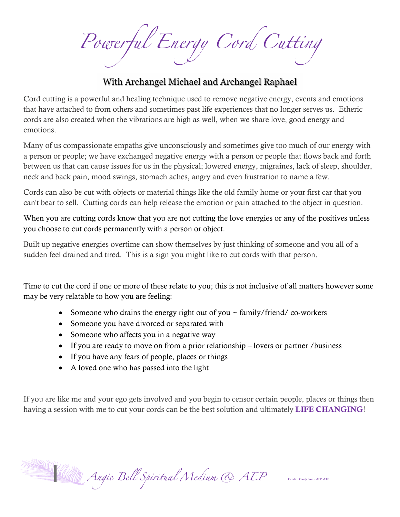Powerful Energy Cord Cutting

## With Archangel Michael and Archangel Raphael

Cord cutting is a powerful and healing technique used to remove negative energy, events and emotions that have attached to from others and sometimes past life experiences that no longer serves us. Etheric cords are also created when the vibrations are high as well, when we share love, good energy and emotions.

Many of us compassionate empaths give unconsciously and sometimes give too much of our energy with a person or people; we have exchanged negative energy with a person or people that flows back and forth between us that can cause issues for us in the physical; lowered energy, migraines, lack of sleep, shoulder, neck and back pain, mood swings, stomach aches, angry and even frustration to name a few.

Cords can also be cut with objects or material things like the old family home or your first car that you can't bear to sell. Cutting cords can help release the emotion or pain attached to the object in question.

When you are cutting cords know that you are not cutting the love energies or any of the positives unless you choose to cut cords permanently with a person or object.

Built up negative energies overtime can show themselves by just thinking of someone and you all of a sudden feel drained and tired. This is a sign you might like to cut cords with that person.

Time to cut the cord if one or more of these relate to you; this is not inclusive of all matters however some may be very relatable to how you are feeling:

- Someone who drains the energy right out of you  $\sim$  family/friend/co-workers
- Someone you have divorced or separated with
- Someone who affects you in a negative way
- If you are ready to move on from a prior relationship lovers or partner /business
- If you have any fears of people, places or things
- A loved one who has passed into the light

If you are like me and your ego gets involved and you begin to censor certain people, places or things then having a session with me to cut your cords can be the best solution and ultimately LIFE CHANGING!

Angie Bell Spiritual Medium & AEP Credit: Cindy Smith AEP, ATP